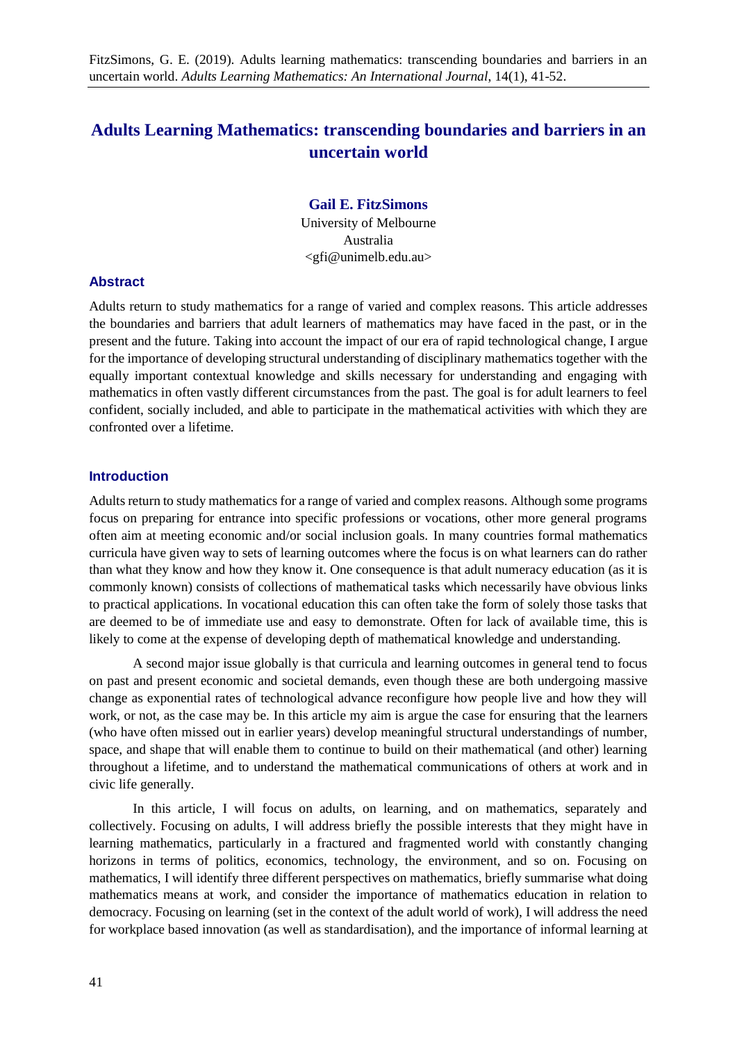# **Adults Learning Mathematics: transcending boundaries and barriers in an uncertain world**

## **Gail E. FitzSimons**

University of Melbourne Australia <gfi@unimelb.edu.au>

## **Abstract**

Adults return to study mathematics for a range of varied and complex reasons. This article addresses the boundaries and barriers that adult learners of mathematics may have faced in the past, or in the present and the future. Taking into account the impact of our era of rapid technological change, I argue for the importance of developing structural understanding of disciplinary mathematics together with the equally important contextual knowledge and skills necessary for understanding and engaging with mathematics in often vastly different circumstances from the past. The goal is for adult learners to feel confident, socially included, and able to participate in the mathematical activities with which they are confronted over a lifetime.

## **Introduction**

Adults return to study mathematics for a range of varied and complex reasons. Although some programs focus on preparing for entrance into specific professions or vocations, other more general programs often aim at meeting economic and/or social inclusion goals. In many countries formal mathematics curricula have given way to sets of learning outcomes where the focus is on what learners can do rather than what they know and how they know it. One consequence is that adult numeracy education (as it is commonly known) consists of collections of mathematical tasks which necessarily have obvious links to practical applications. In vocational education this can often take the form of solely those tasks that are deemed to be of immediate use and easy to demonstrate. Often for lack of available time, this is likely to come at the expense of developing depth of mathematical knowledge and understanding.

A second major issue globally is that curricula and learning outcomes in general tend to focus on past and present economic and societal demands, even though these are both undergoing massive change as exponential rates of technological advance reconfigure how people live and how they will work, or not, as the case may be. In this article my aim is argue the case for ensuring that the learners (who have often missed out in earlier years) develop meaningful structural understandings of number, space, and shape that will enable them to continue to build on their mathematical (and other) learning throughout a lifetime, and to understand the mathematical communications of others at work and in civic life generally.

In this article, I will focus on adults, on learning, and on mathematics, separately and collectively. Focusing on adults, I will address briefly the possible interests that they might have in learning mathematics, particularly in a fractured and fragmented world with constantly changing horizons in terms of politics, economics, technology, the environment, and so on. Focusing on mathematics, I will identify three different perspectives on mathematics, briefly summarise what doing mathematics means at work, and consider the importance of mathematics education in relation to democracy. Focusing on learning (set in the context of the adult world of work), I will address the need for workplace based innovation (as well as standardisation), and the importance of informal learning at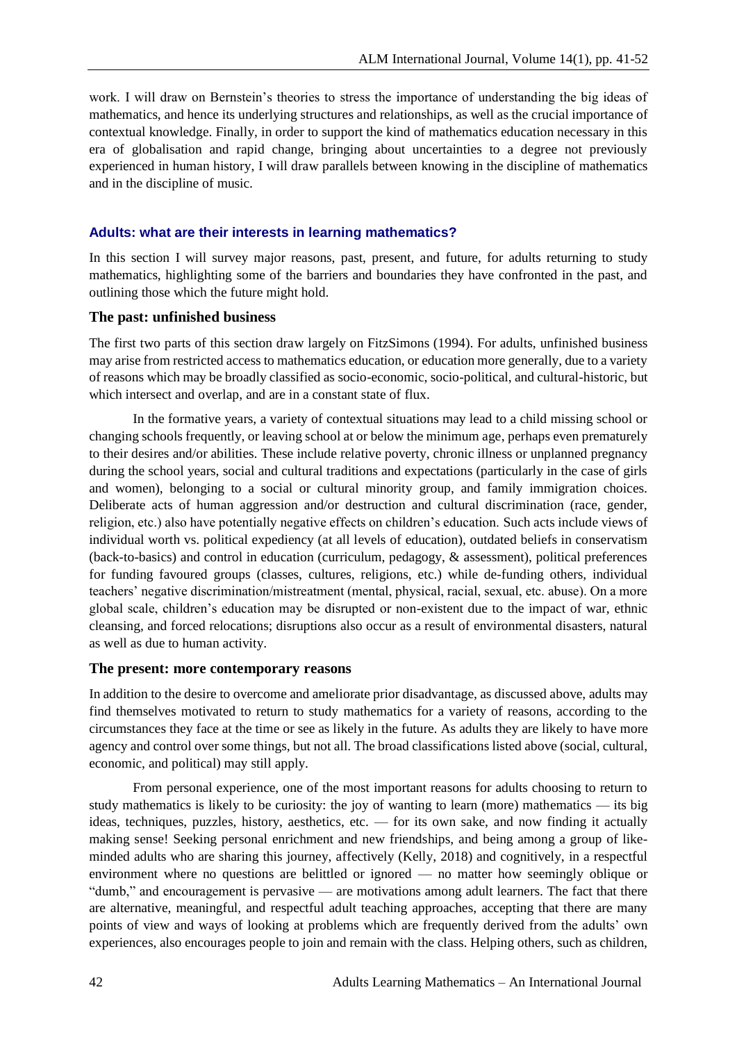work. I will draw on Bernstein's theories to stress the importance of understanding the big ideas of mathematics, and hence its underlying structures and relationships, as well as the crucial importance of contextual knowledge. Finally, in order to support the kind of mathematics education necessary in this era of globalisation and rapid change, bringing about uncertainties to a degree not previously experienced in human history, I will draw parallels between knowing in the discipline of mathematics and in the discipline of music.

## **Adults: what are their interests in learning mathematics?**

In this section I will survey major reasons, past, present, and future, for adults returning to study mathematics, highlighting some of the barriers and boundaries they have confronted in the past, and outlining those which the future might hold.

## **The past: unfinished business**

The first two parts of this section draw largely on FitzSimons (1994). For adults, unfinished business may arise from restricted access to mathematics education, or education more generally, due to a variety of reasons which may be broadly classified as socio-economic, socio-political, and cultural-historic, but which intersect and overlap, and are in a constant state of flux.

In the formative years, a variety of contextual situations may lead to a child missing school or changing schools frequently, or leaving school at or below the minimum age, perhaps even prematurely to their desires and/or abilities. These include relative poverty, chronic illness or unplanned pregnancy during the school years, social and cultural traditions and expectations (particularly in the case of girls and women), belonging to a social or cultural minority group, and family immigration choices. Deliberate acts of human aggression and/or destruction and cultural discrimination (race, gender, religion, etc.) also have potentially negative effects on children's education. Such acts include views of individual worth vs. political expediency (at all levels of education), outdated beliefs in conservatism (back-to-basics) and control in education (curriculum, pedagogy, & assessment), political preferences for funding favoured groups (classes, cultures, religions, etc.) while de-funding others, individual teachers' negative discrimination/mistreatment (mental, physical, racial, sexual, etc. abuse). On a more global scale, children's education may be disrupted or non-existent due to the impact of war, ethnic cleansing, and forced relocations; disruptions also occur as a result of environmental disasters, natural as well as due to human activity.

#### **The present: more contemporary reasons**

In addition to the desire to overcome and ameliorate prior disadvantage, as discussed above, adults may find themselves motivated to return to study mathematics for a variety of reasons, according to the circumstances they face at the time or see as likely in the future. As adults they are likely to have more agency and control over some things, but not all. The broad classifications listed above (social, cultural, economic, and political) may still apply.

From personal experience, one of the most important reasons for adults choosing to return to study mathematics is likely to be curiosity: the joy of wanting to learn (more) mathematics — its big ideas, techniques, puzzles, history, aesthetics, etc. — for its own sake, and now finding it actually making sense! Seeking personal enrichment and new friendships, and being among a group of likeminded adults who are sharing this journey, affectively (Kelly, 2018) and cognitively, in a respectful environment where no questions are belittled or ignored — no matter how seemingly oblique or "dumb," and encouragement is pervasive — are motivations among adult learners. The fact that there are alternative, meaningful, and respectful adult teaching approaches, accepting that there are many points of view and ways of looking at problems which are frequently derived from the adults' own experiences, also encourages people to join and remain with the class. Helping others, such as children,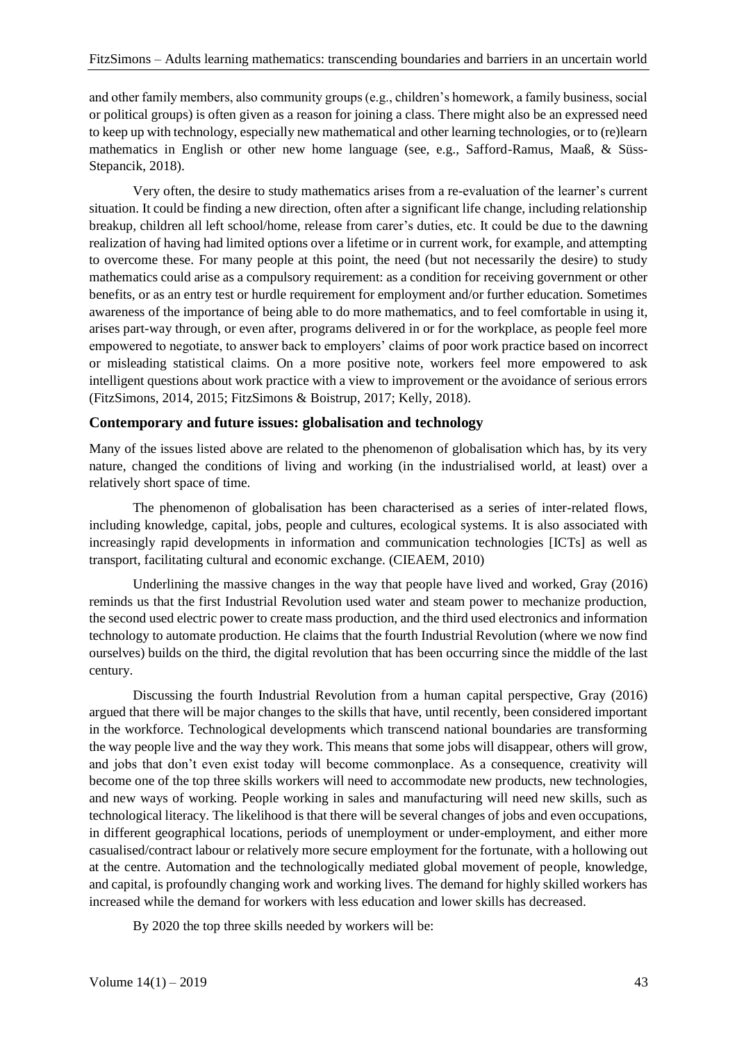and other family members, also community groups (e.g., children's homework, a family business, social or political groups) is often given as a reason for joining a class. There might also be an expressed need to keep up with technology, especially new mathematical and other learning technologies, or to (re)learn mathematics in English or other new home language (see, e.g., Safford-Ramus, Maaß, & Süss-Stepancik, 2018).

Very often, the desire to study mathematics arises from a re-evaluation of the learner's current situation. It could be finding a new direction, often after a significant life change, including relationship breakup, children all left school/home, release from carer's duties, etc. It could be due to the dawning realization of having had limited options over a lifetime or in current work, for example, and attempting to overcome these. For many people at this point, the need (but not necessarily the desire) to study mathematics could arise as a compulsory requirement: as a condition for receiving government or other benefits, or as an entry test or hurdle requirement for employment and/or further education. Sometimes awareness of the importance of being able to do more mathematics, and to feel comfortable in using it, arises part-way through, or even after, programs delivered in or for the workplace, as people feel more empowered to negotiate, to answer back to employers' claims of poor work practice based on incorrect or misleading statistical claims. On a more positive note, workers feel more empowered to ask intelligent questions about work practice with a view to improvement or the avoidance of serious errors (FitzSimons, 2014, 2015; FitzSimons & Boistrup, 2017; Kelly, 2018).

## **Contemporary and future issues: globalisation and technology**

Many of the issues listed above are related to the phenomenon of globalisation which has, by its very nature, changed the conditions of living and working (in the industrialised world, at least) over a relatively short space of time.

The phenomenon of globalisation has been characterised as a series of inter-related flows, including knowledge, capital, jobs, people and cultures, ecological systems. It is also associated with increasingly rapid developments in information and communication technologies [ICTs] as well as transport, facilitating cultural and economic exchange. (CIEAEM, 2010)

Underlining the massive changes in the way that people have lived and worked, Gray (2016) reminds us that the first Industrial Revolution used water and steam power to mechanize production, the second used electric power to create mass production, and the third used electronics and information technology to automate production. He claims that the fourth Industrial Revolution (where we now find ourselves) builds on the third, the digital revolution that has been occurring since the middle of the last century.

Discussing the fourth Industrial Revolution from a human capital perspective, Gray (2016) argued that there will be major changes to the skills that have, until recently, been considered important in the workforce. Technological developments which transcend national boundaries are transforming the way people live and the way they work. This means that some jobs will disappear, others will grow, and jobs that don't even exist today will become commonplace. As a consequence, creativity will become one of the top three skills workers will need to accommodate new products, new technologies, and new ways of working. People working in sales and manufacturing will need new skills, such as technological literacy. The likelihood is that there will be several changes of jobs and even occupations, in different geographical locations, periods of unemployment or under-employment, and either more casualised/contract labour or relatively more secure employment for the fortunate, with a hollowing out at the centre. Automation and the technologically mediated global movement of people, knowledge, and capital, is profoundly changing work and working lives. The demand for highly skilled workers has increased while the demand for workers with less education and lower skills has decreased.

By 2020 the top three skills needed by workers will be: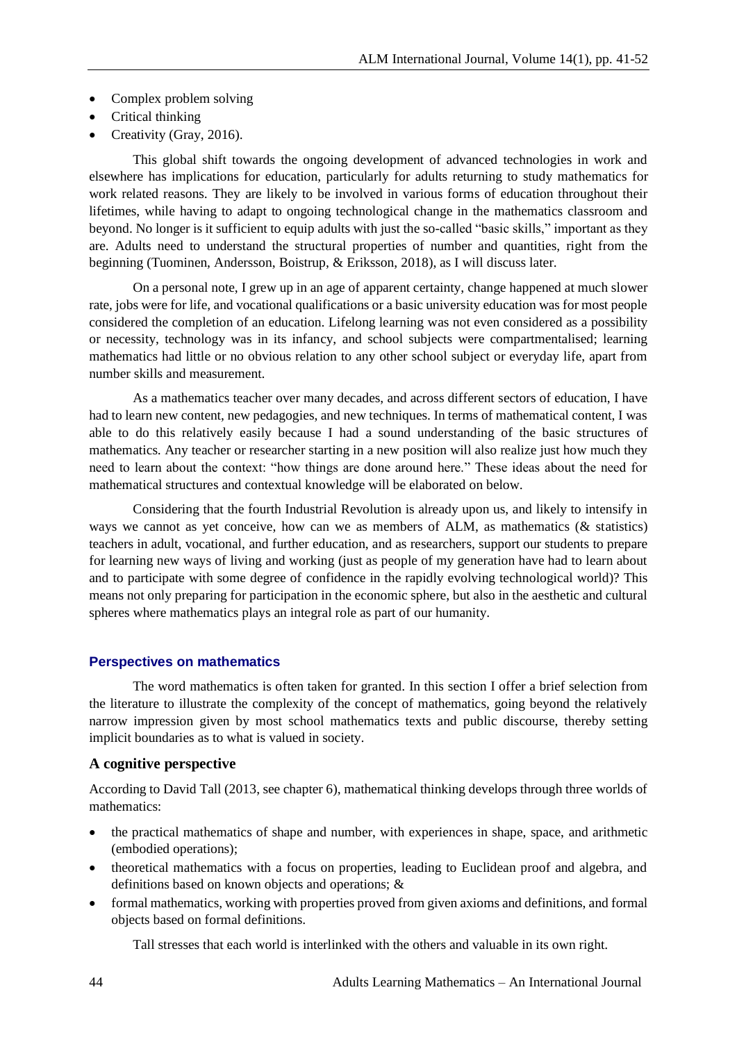- Complex problem solving
- Critical thinking
- Creativity (Gray, 2016).

This global shift towards the ongoing development of advanced technologies in work and elsewhere has implications for education, particularly for adults returning to study mathematics for work related reasons. They are likely to be involved in various forms of education throughout their lifetimes, while having to adapt to ongoing technological change in the mathematics classroom and beyond. No longer is it sufficient to equip adults with just the so-called "basic skills," important as they are. Adults need to understand the structural properties of number and quantities, right from the beginning (Tuominen, Andersson, Boistrup, & Eriksson, 2018), as I will discuss later.

On a personal note, I grew up in an age of apparent certainty, change happened at much slower rate, jobs were for life, and vocational qualifications or a basic university education was for most people considered the completion of an education. Lifelong learning was not even considered as a possibility or necessity, technology was in its infancy, and school subjects were compartmentalised; learning mathematics had little or no obvious relation to any other school subject or everyday life, apart from number skills and measurement.

As a mathematics teacher over many decades, and across different sectors of education, I have had to learn new content, new pedagogies, and new techniques. In terms of mathematical content, I was able to do this relatively easily because I had a sound understanding of the basic structures of mathematics. Any teacher or researcher starting in a new position will also realize just how much they need to learn about the context: "how things are done around here." These ideas about the need for mathematical structures and contextual knowledge will be elaborated on below.

Considering that the fourth Industrial Revolution is already upon us, and likely to intensify in ways we cannot as yet conceive, how can we as members of ALM, as mathematics (& statistics) teachers in adult, vocational, and further education, and as researchers, support our students to prepare for learning new ways of living and working (just as people of my generation have had to learn about and to participate with some degree of confidence in the rapidly evolving technological world)? This means not only preparing for participation in the economic sphere, but also in the aesthetic and cultural spheres where mathematics plays an integral role as part of our humanity.

## **Perspectives on mathematics**

The word mathematics is often taken for granted. In this section I offer a brief selection from the literature to illustrate the complexity of the concept of mathematics, going beyond the relatively narrow impression given by most school mathematics texts and public discourse, thereby setting implicit boundaries as to what is valued in society.

## **A cognitive perspective**

According to David Tall (2013, see chapter 6), mathematical thinking develops through three worlds of mathematics:

- the practical mathematics of shape and number, with experiences in shape, space, and arithmetic (embodied operations);
- theoretical mathematics with a focus on properties, leading to Euclidean proof and algebra, and definitions based on known objects and operations; &
- formal mathematics, working with properties proved from given axioms and definitions, and formal objects based on formal definitions.

Tall stresses that each world is interlinked with the others and valuable in its own right.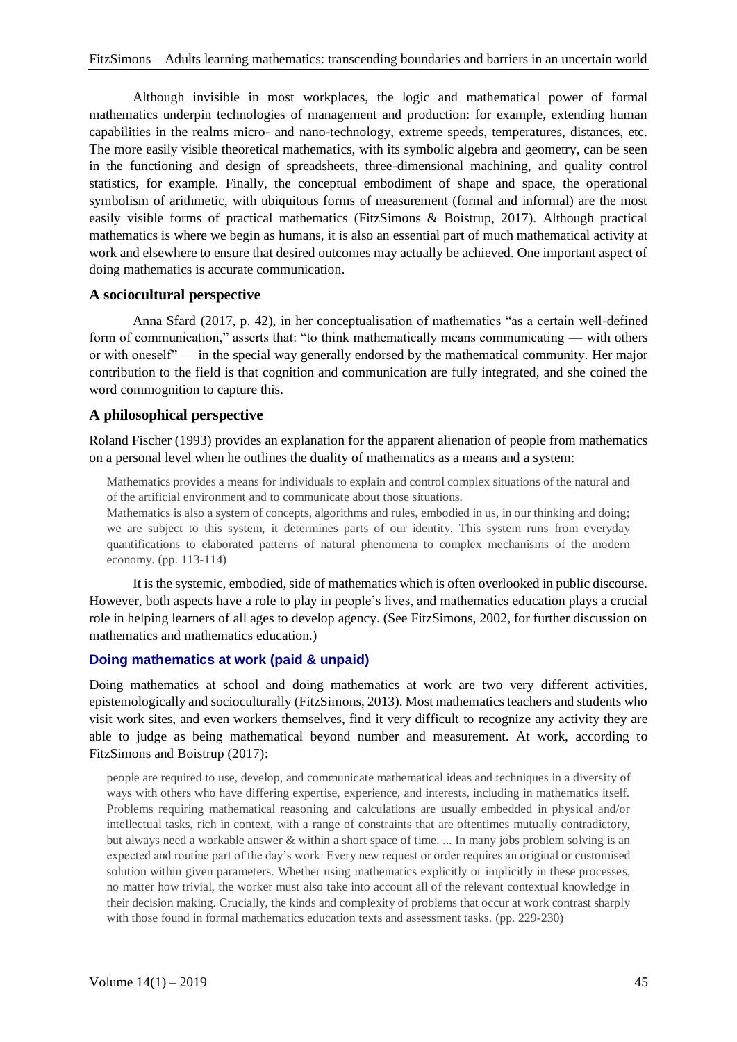Although invisible in most workplaces, the logic and mathematical power of formal mathematics underpin technologies of management and production: for example, extending human capabilities in the realms micro- and nano-technology, extreme speeds, temperatures, distances, etc. The more easily visible theoretical mathematics, with its symbolic algebra and geometry, can be seen in the functioning and design of spreadsheets, three-dimensional machining, and quality control statistics, for example. Finally, the conceptual embodiment of shape and space, the operational symbolism of arithmetic, with ubiquitous forms of measurement (formal and informal) are the most easily visible forms of practical mathematics (FitzSimons & Boistrup, 2017). Although practical mathematics is where we begin as humans, it is also an essential part of much mathematical activity at work and elsewhere to ensure that desired outcomes may actually be achieved. One important aspect of doing mathematics is accurate communication.

## **A sociocultural perspective**

Anna Sfard (2017, p. 42), in her conceptualisation of mathematics "as a certain well-defined form of communication," asserts that: "to think mathematically means communicating — with others or with oneself" — in the special way generally endorsed by the mathematical community. Her major contribution to the field is that cognition and communication are fully integrated, and she coined the word commognition to capture this.

## **A philosophical perspective**

Roland Fischer (1993) provides an explanation for the apparent alienation of people from mathematics on a personal level when he outlines the duality of mathematics as a means and a system:

Mathematics provides a means for individuals to explain and control complex situations of the natural and of the artificial environment and to communicate about those situations.

Mathematics is also a system of concepts, algorithms and rules, embodied in us, in our thinking and doing; we are subject to this system, it determines parts of our identity. This system runs from everyday quantifications to elaborated patterns of natural phenomena to complex mechanisms of the modern economy. (pp. 113-114)

It is the systemic, embodied, side of mathematics which is often overlooked in public discourse. However, both aspects have a role to play in people's lives, and mathematics education plays a crucial role in helping learners of all ages to develop agency. (See FitzSimons, 2002, for further discussion on mathematics and mathematics education.)

## **Doing mathematics at work (paid & unpaid)**

Doing mathematics at school and doing mathematics at work are two very different activities, epistemologically and socioculturally (FitzSimons, 2013). Most mathematics teachers and students who visit work sites, and even workers themselves, find it very difficult to recognize any activity they are able to judge as being mathematical beyond number and measurement. At work, according to FitzSimons and Boistrup (2017):

people are required to use, develop, and communicate mathematical ideas and techniques in a diversity of ways with others who have differing expertise, experience, and interests, including in mathematics itself. Problems requiring mathematical reasoning and calculations are usually embedded in physical and/or intellectual tasks, rich in context, with a range of constraints that are oftentimes mutually contradictory, but always need a workable answer & within a short space of time. ... In many jobs problem solving is an expected and routine part of the day's work: Every new request or order requires an original or customised solution within given parameters. Whether using mathematics explicitly or implicitly in these processes, no matter how trivial, the worker must also take into account all of the relevant contextual knowledge in their decision making. Crucially, the kinds and complexity of problems that occur at work contrast sharply with those found in formal mathematics education texts and assessment tasks. (pp. 229-230)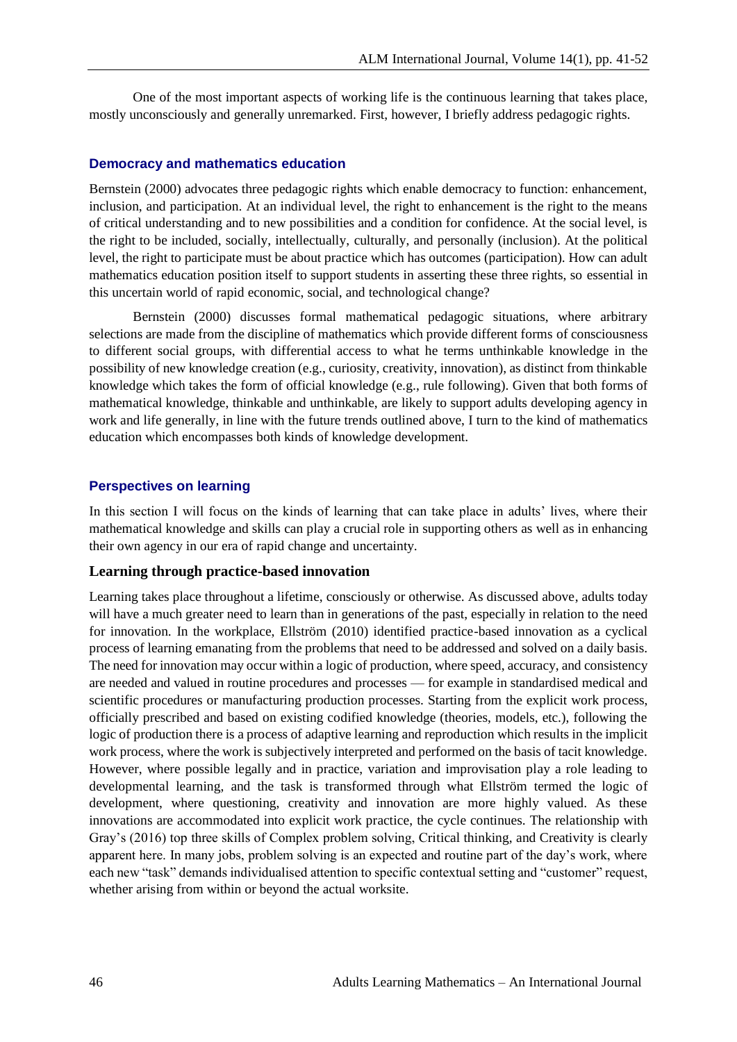One of the most important aspects of working life is the continuous learning that takes place, mostly unconsciously and generally unremarked. First, however, I briefly address pedagogic rights.

#### **Democracy and mathematics education**

Bernstein (2000) advocates three pedagogic rights which enable democracy to function: enhancement, inclusion, and participation. At an individual level, the right to enhancement is the right to the means of critical understanding and to new possibilities and a condition for confidence. At the social level, is the right to be included, socially, intellectually, culturally, and personally (inclusion). At the political level, the right to participate must be about practice which has outcomes (participation). How can adult mathematics education position itself to support students in asserting these three rights, so essential in this uncertain world of rapid economic, social, and technological change?

Bernstein (2000) discusses formal mathematical pedagogic situations, where arbitrary selections are made from the discipline of mathematics which provide different forms of consciousness to different social groups, with differential access to what he terms unthinkable knowledge in the possibility of new knowledge creation (e.g., curiosity, creativity, innovation), as distinct from thinkable knowledge which takes the form of official knowledge (e.g., rule following). Given that both forms of mathematical knowledge, thinkable and unthinkable, are likely to support adults developing agency in work and life generally, in line with the future trends outlined above, I turn to the kind of mathematics education which encompasses both kinds of knowledge development.

### **Perspectives on learning**

In this section I will focus on the kinds of learning that can take place in adults' lives, where their mathematical knowledge and skills can play a crucial role in supporting others as well as in enhancing their own agency in our era of rapid change and uncertainty.

## **Learning through practice-based innovation**

Learning takes place throughout a lifetime, consciously or otherwise. As discussed above, adults today will have a much greater need to learn than in generations of the past, especially in relation to the need for innovation. In the workplace, Ellström (2010) identified practice-based innovation as a cyclical process of learning emanating from the problems that need to be addressed and solved on a daily basis. The need for innovation may occur within a logic of production, where speed, accuracy, and consistency are needed and valued in routine procedures and processes — for example in standardised medical and scientific procedures or manufacturing production processes. Starting from the explicit work process, officially prescribed and based on existing codified knowledge (theories, models, etc.), following the logic of production there is a process of adaptive learning and reproduction which results in the implicit work process, where the work is subjectively interpreted and performed on the basis of tacit knowledge. However, where possible legally and in practice, variation and improvisation play a role leading to developmental learning, and the task is transformed through what Ellström termed the logic of development, where questioning, creativity and innovation are more highly valued. As these innovations are accommodated into explicit work practice, the cycle continues. The relationship with Gray's (2016) top three skills of Complex problem solving, Critical thinking, and Creativity is clearly apparent here. In many jobs, problem solving is an expected and routine part of the day's work, where each new "task" demands individualised attention to specific contextual setting and "customer" request, whether arising from within or beyond the actual worksite.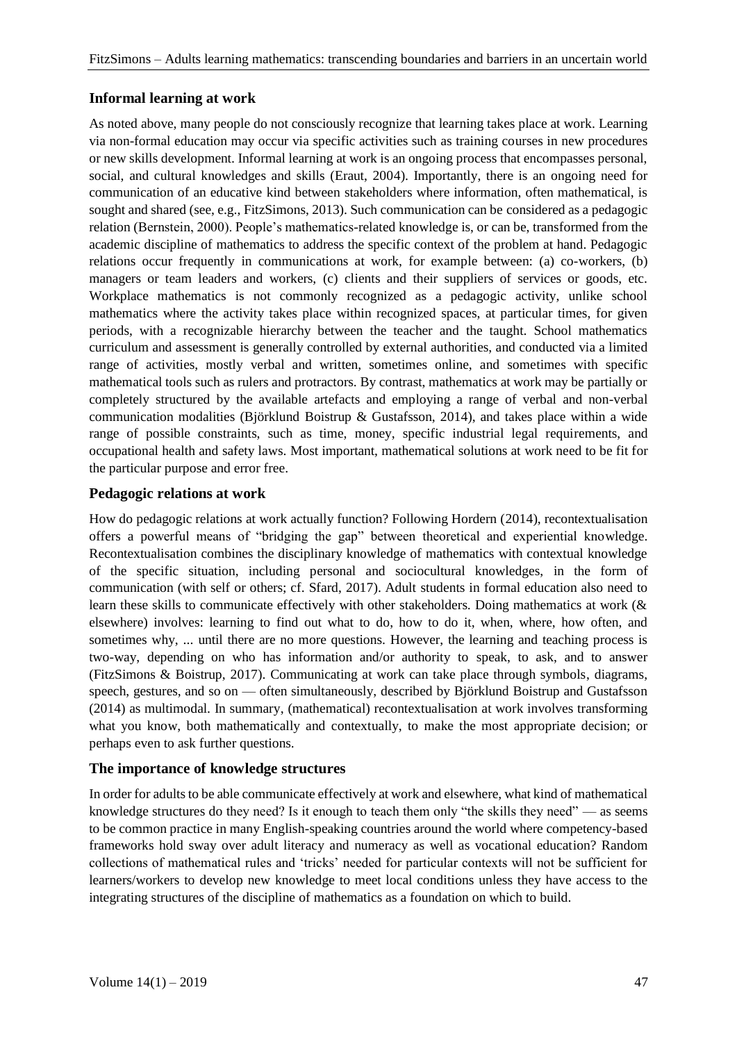## **Informal learning at work**

As noted above, many people do not consciously recognize that learning takes place at work. Learning via non-formal education may occur via specific activities such as training courses in new procedures or new skills development. Informal learning at work is an ongoing process that encompasses personal, social, and cultural knowledges and skills (Eraut, 2004). Importantly, there is an ongoing need for communication of an educative kind between stakeholders where information, often mathematical, is sought and shared (see, e.g., FitzSimons, 2013). Such communication can be considered as a pedagogic relation (Bernstein, 2000). People's mathematics-related knowledge is, or can be, transformed from the academic discipline of mathematics to address the specific context of the problem at hand. Pedagogic relations occur frequently in communications at work, for example between: (a) co-workers, (b) managers or team leaders and workers, (c) clients and their suppliers of services or goods, etc. Workplace mathematics is not commonly recognized as a pedagogic activity, unlike school mathematics where the activity takes place within recognized spaces, at particular times, for given periods, with a recognizable hierarchy between the teacher and the taught. School mathematics curriculum and assessment is generally controlled by external authorities, and conducted via a limited range of activities, mostly verbal and written, sometimes online, and sometimes with specific mathematical tools such as rulers and protractors. By contrast, mathematics at work may be partially or completely structured by the available artefacts and employing a range of verbal and non-verbal communication modalities (Björklund Boistrup & Gustafsson, 2014), and takes place within a wide range of possible constraints, such as time, money, specific industrial legal requirements, and occupational health and safety laws. Most important, mathematical solutions at work need to be fit for the particular purpose and error free.

## **Pedagogic relations at work**

How do pedagogic relations at work actually function? Following Hordern (2014), recontextualisation offers a powerful means of "bridging the gap" between theoretical and experiential knowledge. Recontextualisation combines the disciplinary knowledge of mathematics with contextual knowledge of the specific situation, including personal and sociocultural knowledges, in the form of communication (with self or others; cf. Sfard, 2017). Adult students in formal education also need to learn these skills to communicate effectively with other stakeholders. Doing mathematics at work (& elsewhere) involves: learning to find out what to do, how to do it, when, where, how often, and sometimes why, ... until there are no more questions. However, the learning and teaching process is two-way, depending on who has information and/or authority to speak, to ask, and to answer (FitzSimons & Boistrup, 2017). Communicating at work can take place through symbols, diagrams, speech, gestures, and so on — often simultaneously, described by Björklund Boistrup and Gustafsson (2014) as multimodal. In summary, (mathematical) recontextualisation at work involves transforming what you know, both mathematically and contextually, to make the most appropriate decision; or perhaps even to ask further questions.

## **The importance of knowledge structures**

In order for adults to be able communicate effectively at work and elsewhere, what kind of mathematical knowledge structures do they need? Is it enough to teach them only "the skills they need" — as seems to be common practice in many English-speaking countries around the world where competency-based frameworks hold sway over adult literacy and numeracy as well as vocational education? Random collections of mathematical rules and 'tricks' needed for particular contexts will not be sufficient for learners/workers to develop new knowledge to meet local conditions unless they have access to the integrating structures of the discipline of mathematics as a foundation on which to build.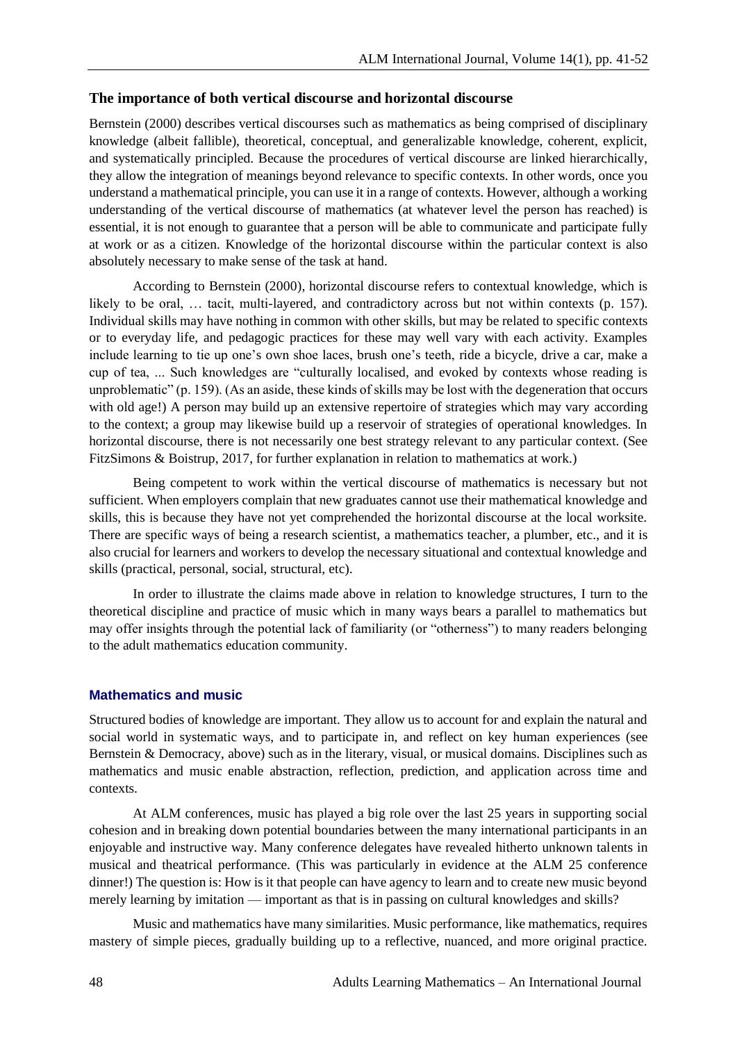## **The importance of both vertical discourse and horizontal discourse**

Bernstein (2000) describes vertical discourses such as mathematics as being comprised of disciplinary knowledge (albeit fallible), theoretical, conceptual, and generalizable knowledge, coherent, explicit, and systematically principled. Because the procedures of vertical discourse are linked hierarchically, they allow the integration of meanings beyond relevance to specific contexts. In other words, once you understand a mathematical principle, you can use it in a range of contexts. However, although a working understanding of the vertical discourse of mathematics (at whatever level the person has reached) is essential, it is not enough to guarantee that a person will be able to communicate and participate fully at work or as a citizen. Knowledge of the horizontal discourse within the particular context is also absolutely necessary to make sense of the task at hand.

According to Bernstein (2000), horizontal discourse refers to contextual knowledge, which is likely to be oral, ... tacit, multi-layered, and contradictory across but not within contexts (p. 157). Individual skills may have nothing in common with other skills, but may be related to specific contexts or to everyday life, and pedagogic practices for these may well vary with each activity. Examples include learning to tie up one's own shoe laces, brush one's teeth, ride a bicycle, drive a car, make a cup of tea, ... Such knowledges are "culturally localised, and evoked by contexts whose reading is unproblematic" (p. 159). (As an aside, these kinds of skills may be lost with the degeneration that occurs with old age!) A person may build up an extensive repertoire of strategies which may vary according to the context; a group may likewise build up a reservoir of strategies of operational knowledges. In horizontal discourse, there is not necessarily one best strategy relevant to any particular context. (See FitzSimons & Boistrup, 2017, for further explanation in relation to mathematics at work.)

Being competent to work within the vertical discourse of mathematics is necessary but not sufficient. When employers complain that new graduates cannot use their mathematical knowledge and skills, this is because they have not yet comprehended the horizontal discourse at the local worksite. There are specific ways of being a research scientist, a mathematics teacher, a plumber, etc., and it is also crucial for learners and workers to develop the necessary situational and contextual knowledge and skills (practical, personal, social, structural, etc).

In order to illustrate the claims made above in relation to knowledge structures, I turn to the theoretical discipline and practice of music which in many ways bears a parallel to mathematics but may offer insights through the potential lack of familiarity (or "otherness") to many readers belonging to the adult mathematics education community.

## **Mathematics and music**

Structured bodies of knowledge are important. They allow us to account for and explain the natural and social world in systematic ways, and to participate in, and reflect on key human experiences (see Bernstein & Democracy, above) such as in the literary, visual, or musical domains. Disciplines such as mathematics and music enable abstraction, reflection, prediction, and application across time and contexts.

At ALM conferences, music has played a big role over the last 25 years in supporting social cohesion and in breaking down potential boundaries between the many international participants in an enjoyable and instructive way. Many conference delegates have revealed hitherto unknown talents in musical and theatrical performance. (This was particularly in evidence at the ALM 25 conference dinner!) The question is: How is it that people can have agency to learn and to create new music beyond merely learning by imitation — important as that is in passing on cultural knowledges and skills?

Music and mathematics have many similarities. Music performance, like mathematics, requires mastery of simple pieces, gradually building up to a reflective, nuanced, and more original practice.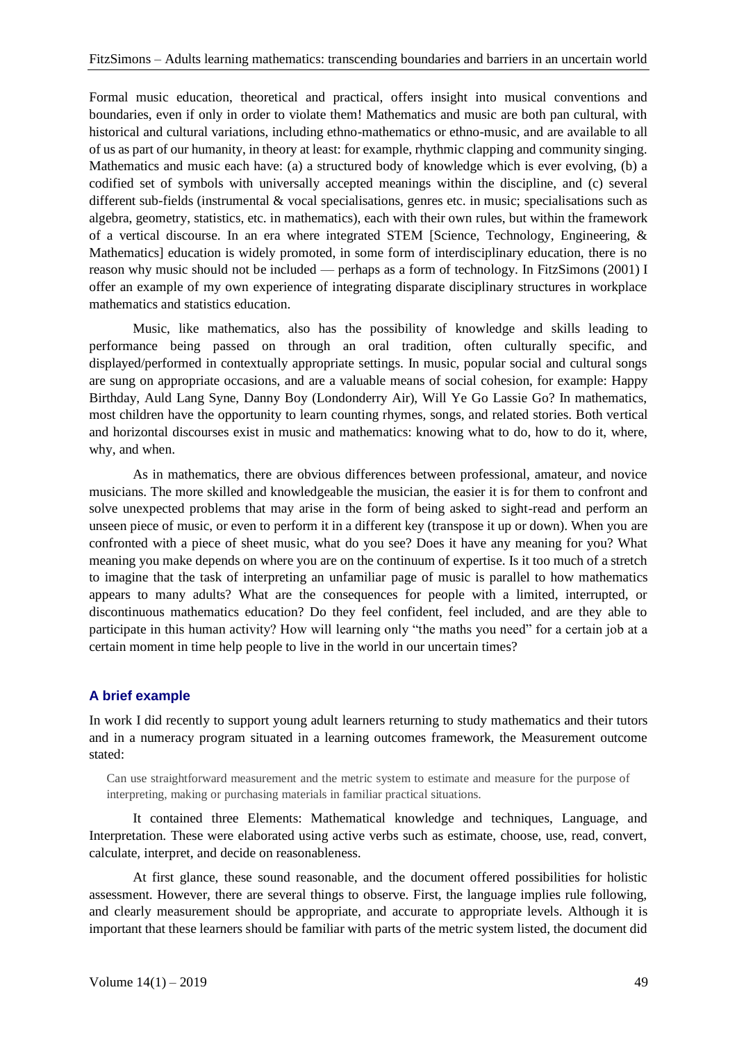Formal music education, theoretical and practical, offers insight into musical conventions and boundaries, even if only in order to violate them! Mathematics and music are both pan cultural, with historical and cultural variations, including ethno-mathematics or ethno-music, and are available to all of us as part of our humanity, in theory at least: for example, rhythmic clapping and community singing. Mathematics and music each have: (a) a structured body of knowledge which is ever evolving, (b) a codified set of symbols with universally accepted meanings within the discipline, and (c) several different sub-fields (instrumental & vocal specialisations, genres etc. in music; specialisations such as algebra, geometry, statistics, etc. in mathematics), each with their own rules, but within the framework of a vertical discourse. In an era where integrated STEM [Science, Technology, Engineering, & Mathematics] education is widely promoted, in some form of interdisciplinary education, there is no reason why music should not be included — perhaps as a form of technology. In FitzSimons (2001) I offer an example of my own experience of integrating disparate disciplinary structures in workplace mathematics and statistics education.

Music, like mathematics, also has the possibility of knowledge and skills leading to performance being passed on through an oral tradition, often culturally specific, and displayed/performed in contextually appropriate settings. In music, popular social and cultural songs are sung on appropriate occasions, and are a valuable means of social cohesion, for example: Happy Birthday, Auld Lang Syne, Danny Boy (Londonderry Air), Will Ye Go Lassie Go? In mathematics, most children have the opportunity to learn counting rhymes, songs, and related stories. Both vertical and horizontal discourses exist in music and mathematics: knowing what to do, how to do it, where, why, and when.

As in mathematics, there are obvious differences between professional, amateur, and novice musicians. The more skilled and knowledgeable the musician, the easier it is for them to confront and solve unexpected problems that may arise in the form of being asked to sight-read and perform an unseen piece of music, or even to perform it in a different key (transpose it up or down). When you are confronted with a piece of sheet music, what do you see? Does it have any meaning for you? What meaning you make depends on where you are on the continuum of expertise. Is it too much of a stretch to imagine that the task of interpreting an unfamiliar page of music is parallel to how mathematics appears to many adults? What are the consequences for people with a limited, interrupted, or discontinuous mathematics education? Do they feel confident, feel included, and are they able to participate in this human activity? How will learning only "the maths you need" for a certain job at a certain moment in time help people to live in the world in our uncertain times?

### **A brief example**

In work I did recently to support young adult learners returning to study mathematics and their tutors and in a numeracy program situated in a learning outcomes framework, the Measurement outcome stated:

Can use straightforward measurement and the metric system to estimate and measure for the purpose of interpreting, making or purchasing materials in familiar practical situations.

It contained three Elements: Mathematical knowledge and techniques, Language, and Interpretation. These were elaborated using active verbs such as estimate, choose, use, read, convert, calculate, interpret, and decide on reasonableness.

At first glance, these sound reasonable, and the document offered possibilities for holistic assessment. However, there are several things to observe. First, the language implies rule following, and clearly measurement should be appropriate, and accurate to appropriate levels. Although it is important that these learners should be familiar with parts of the metric system listed, the document did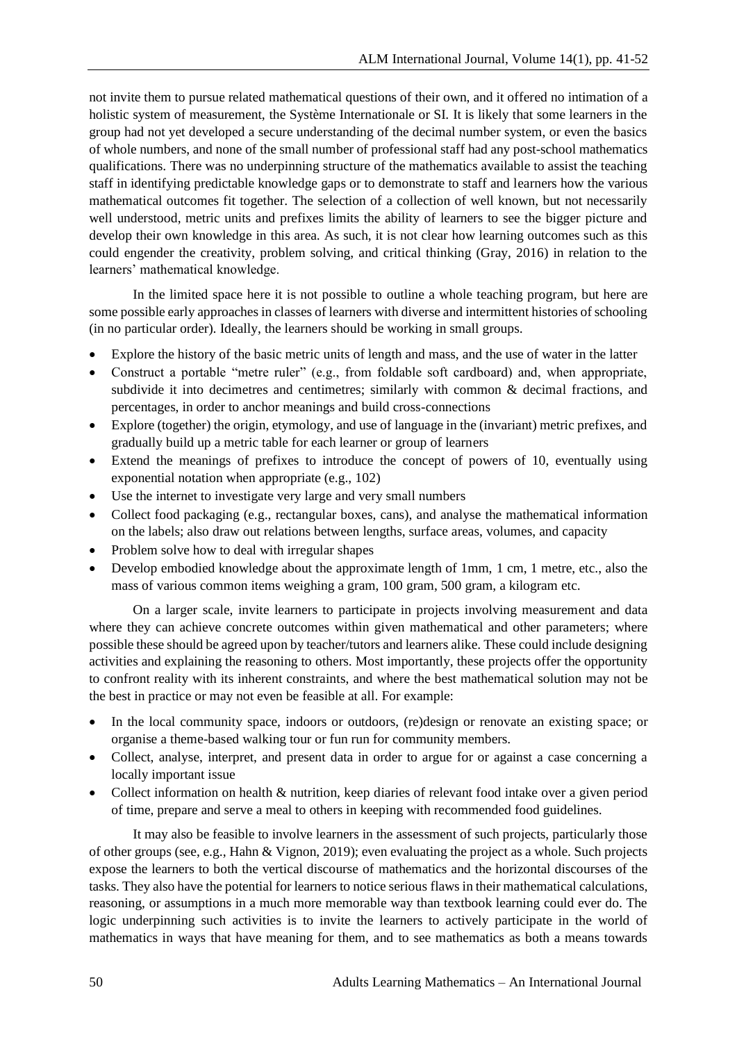not invite them to pursue related mathematical questions of their own, and it offered no intimation of a holistic system of measurement, the Système Internationale or SI. It is likely that some learners in the group had not yet developed a secure understanding of the decimal number system, or even the basics of whole numbers, and none of the small number of professional staff had any post-school mathematics qualifications. There was no underpinning structure of the mathematics available to assist the teaching staff in identifying predictable knowledge gaps or to demonstrate to staff and learners how the various mathematical outcomes fit together. The selection of a collection of well known, but not necessarily well understood, metric units and prefixes limits the ability of learners to see the bigger picture and develop their own knowledge in this area. As such, it is not clear how learning outcomes such as this could engender the creativity, problem solving, and critical thinking (Gray, 2016) in relation to the learners' mathematical knowledge.

In the limited space here it is not possible to outline a whole teaching program, but here are some possible early approaches in classes of learners with diverse and intermittent histories of schooling (in no particular order). Ideally, the learners should be working in small groups.

- Explore the history of the basic metric units of length and mass, and the use of water in the latter
- Construct a portable "metre ruler" (e.g., from foldable soft cardboard) and, when appropriate, subdivide it into decimetres and centimetres; similarly with common & decimal fractions, and percentages, in order to anchor meanings and build cross-connections
- Explore (together) the origin, etymology, and use of language in the (invariant) metric prefixes, and gradually build up a metric table for each learner or group of learners
- Extend the meanings of prefixes to introduce the concept of powers of 10, eventually using exponential notation when appropriate (e.g., 102)
- Use the internet to investigate very large and very small numbers
- Collect food packaging (e.g., rectangular boxes, cans), and analyse the mathematical information on the labels; also draw out relations between lengths, surface areas, volumes, and capacity
- Problem solve how to deal with irregular shapes
- Develop embodied knowledge about the approximate length of 1mm, 1 cm, 1 metre, etc., also the mass of various common items weighing a gram, 100 gram, 500 gram, a kilogram etc.

On a larger scale, invite learners to participate in projects involving measurement and data where they can achieve concrete outcomes within given mathematical and other parameters; where possible these should be agreed upon by teacher/tutors and learners alike. These could include designing activities and explaining the reasoning to others. Most importantly, these projects offer the opportunity to confront reality with its inherent constraints, and where the best mathematical solution may not be the best in practice or may not even be feasible at all. For example:

- In the local community space, indoors or outdoors, (re)design or renovate an existing space; or organise a theme-based walking tour or fun run for community members.
- Collect, analyse, interpret, and present data in order to argue for or against a case concerning a locally important issue
- Collect information on health & nutrition, keep diaries of relevant food intake over a given period of time, prepare and serve a meal to others in keeping with recommended food guidelines.

It may also be feasible to involve learners in the assessment of such projects, particularly those of other groups (see, e.g., Hahn & Vignon, 2019); even evaluating the project as a whole. Such projects expose the learners to both the vertical discourse of mathematics and the horizontal discourses of the tasks. They also have the potential for learners to notice serious flaws in their mathematical calculations, reasoning, or assumptions in a much more memorable way than textbook learning could ever do. The logic underpinning such activities is to invite the learners to actively participate in the world of mathematics in ways that have meaning for them, and to see mathematics as both a means towards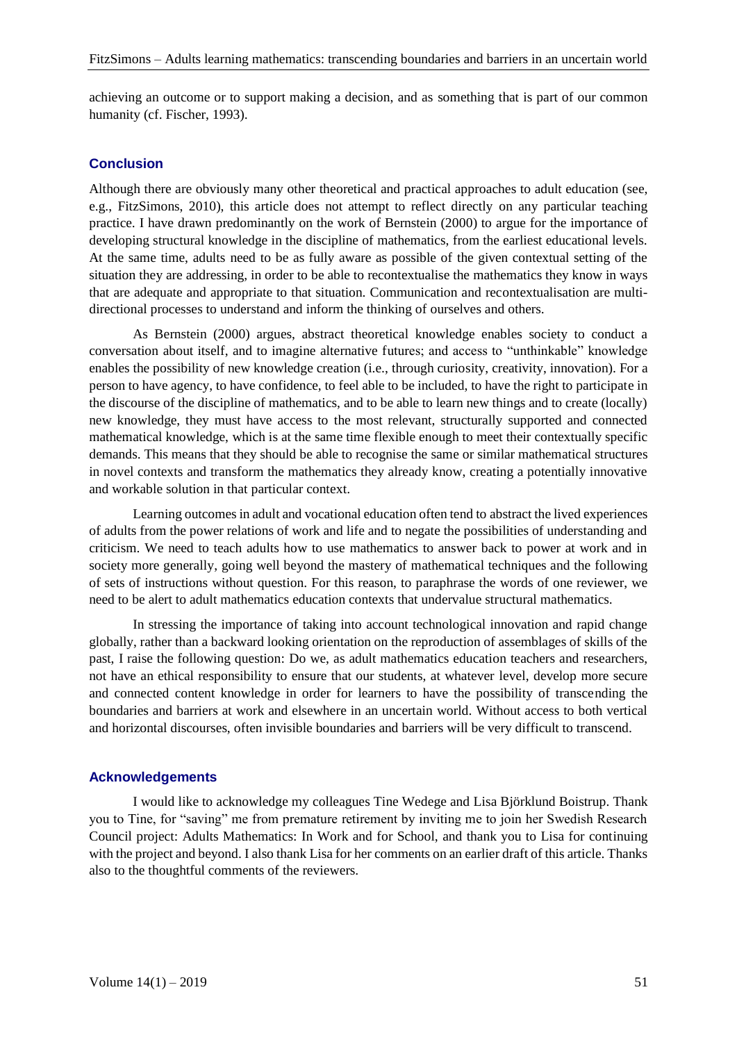achieving an outcome or to support making a decision, and as something that is part of our common humanity (cf. Fischer, 1993).

## **Conclusion**

Although there are obviously many other theoretical and practical approaches to adult education (see, e.g., FitzSimons, 2010), this article does not attempt to reflect directly on any particular teaching practice. I have drawn predominantly on the work of Bernstein (2000) to argue for the importance of developing structural knowledge in the discipline of mathematics, from the earliest educational levels. At the same time, adults need to be as fully aware as possible of the given contextual setting of the situation they are addressing, in order to be able to recontextualise the mathematics they know in ways that are adequate and appropriate to that situation. Communication and recontextualisation are multidirectional processes to understand and inform the thinking of ourselves and others.

As Bernstein (2000) argues, abstract theoretical knowledge enables society to conduct a conversation about itself, and to imagine alternative futures; and access to "unthinkable" knowledge enables the possibility of new knowledge creation (i.e., through curiosity, creativity, innovation). For a person to have agency, to have confidence, to feel able to be included, to have the right to participate in the discourse of the discipline of mathematics, and to be able to learn new things and to create (locally) new knowledge, they must have access to the most relevant, structurally supported and connected mathematical knowledge, which is at the same time flexible enough to meet their contextually specific demands. This means that they should be able to recognise the same or similar mathematical structures in novel contexts and transform the mathematics they already know, creating a potentially innovative and workable solution in that particular context.

Learning outcomes in adult and vocational education often tend to abstract the lived experiences of adults from the power relations of work and life and to negate the possibilities of understanding and criticism. We need to teach adults how to use mathematics to answer back to power at work and in society more generally, going well beyond the mastery of mathematical techniques and the following of sets of instructions without question. For this reason, to paraphrase the words of one reviewer, we need to be alert to adult mathematics education contexts that undervalue structural mathematics.

In stressing the importance of taking into account technological innovation and rapid change globally, rather than a backward looking orientation on the reproduction of assemblages of skills of the past, I raise the following question: Do we, as adult mathematics education teachers and researchers, not have an ethical responsibility to ensure that our students, at whatever level, develop more secure and connected content knowledge in order for learners to have the possibility of transcending the boundaries and barriers at work and elsewhere in an uncertain world. Without access to both vertical and horizontal discourses, often invisible boundaries and barriers will be very difficult to transcend.

#### **Acknowledgements**

I would like to acknowledge my colleagues Tine Wedege and Lisa Björklund Boistrup. Thank you to Tine, for "saving" me from premature retirement by inviting me to join her Swedish Research Council project: Adults Mathematics: In Work and for School, and thank you to Lisa for continuing with the project and beyond. I also thank Lisa for her comments on an earlier draft of this article. Thanks also to the thoughtful comments of the reviewers.